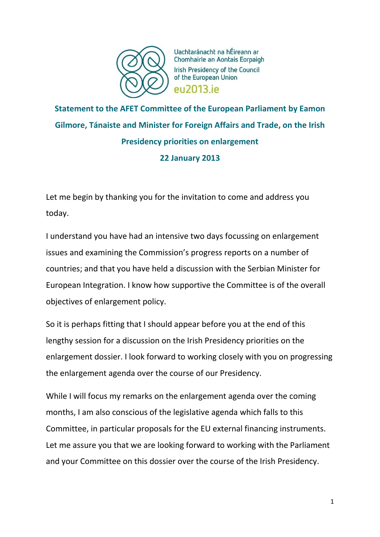

Uachtaránacht na hÉireann ar Chomhairle an Aontais Eorpaigh Irish Presidency of the Council of the European Union **PU2013** iP

**Statement to the AFET Committee of the European Parliament by Eamon Gilmore, Tánaiste and Minister for Foreign Affairs and Trade, on the Irish Presidency priorities on enlargement 22 January 2013**

Let me begin by thanking you for the invitation to come and address you today.

I understand you have had an intensive two days focussing on enlargement issues and examining the Commission's progress reports on a number of countries; and that you have held a discussion with the Serbian Minister for European Integration. I know how supportive the Committee is of the overall objectives of enlargement policy.

So it is perhaps fitting that I should appear before you at the end of this lengthy session for a discussion on the Irish Presidency priorities on the enlargement dossier. I look forward to working closely with you on progressing the enlargement agenda over the course of our Presidency.

While I will focus my remarks on the enlargement agenda over the coming months, I am also conscious of the legislative agenda which falls to this Committee, in particular proposals for the EU external financing instruments. Let me assure you that we are looking forward to working with the Parliament and your Committee on this dossier over the course of the Irish Presidency.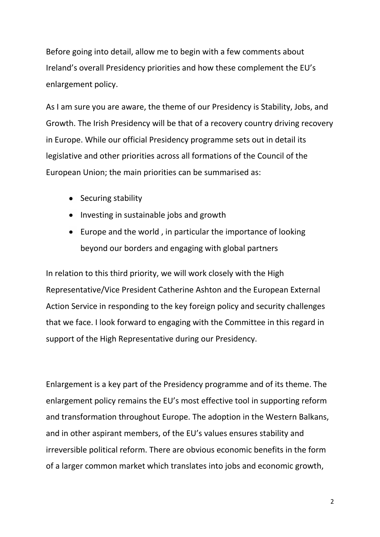Before going into detail, allow me to begin with a few comments about Ireland's overall Presidency priorities and how these complement the EU's enlargement policy.

As I am sure you are aware, the theme of our Presidency is Stability, Jobs, and Growth. The Irish Presidency will be that of a recovery country driving recovery in Europe. While our official Presidency programme sets out in detail its legislative and other priorities across all formations of the Council of the European Union; the main priorities can be summarised as:

- Securing stability
- Investing in sustainable jobs and growth
- Europe and the world , in particular the importance of looking beyond our borders and engaging with global partners

In relation to this third priority, we will work closely with the High Representative/Vice President Catherine Ashton and the European External Action Service in responding to the key foreign policy and security challenges that we face. I look forward to engaging with the Committee in this regard in support of the High Representative during our Presidency.

Enlargement is a key part of the Presidency programme and of its theme. The enlargement policy remains the EU's most effective tool in supporting reform and transformation throughout Europe. The adoption in the Western Balkans, and in other aspirant members, of the EU's values ensures stability and irreversible political reform. There are obvious economic benefits in the form of a larger common market which translates into jobs and economic growth,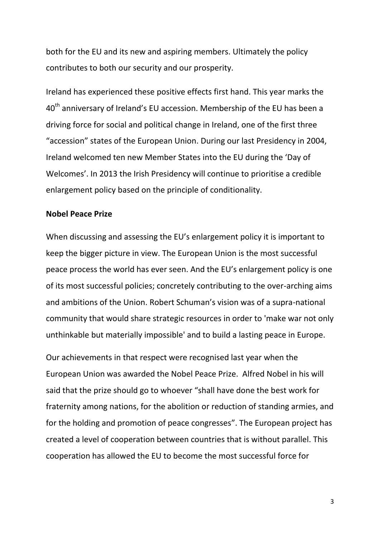both for the EU and its new and aspiring members. Ultimately the policy contributes to both our security and our prosperity.

Ireland has experienced these positive effects first hand. This year marks the 40<sup>th</sup> anniversary of Ireland's EU accession. Membership of the EU has been a driving force for social and political change in Ireland, one of the first three "accession" states of the European Union. During our last Presidency in 2004, Ireland welcomed ten new Member States into the EU during the 'Day of Welcomes'. In 2013 the Irish Presidency will continue to prioritise a credible enlargement policy based on the principle of conditionality.

## **Nobel Peace Prize**

When discussing and assessing the EU's enlargement policy it is important to keep the bigger picture in view. The European Union is the most successful peace process the world has ever seen. And the EU's enlargement policy is one of its most successful policies; concretely contributing to the over-arching aims and ambitions of the Union. Robert Schuman's vision was of a supra-national community that would share strategic resources in order to 'make war not only unthinkable but materially impossible' and to build a lasting peace in Europe.

Our achievements in that respect were recognised last year when the European Union was awarded the Nobel Peace Prize. Alfred Nobel in his will said that the prize should go to whoever "shall have done the best work for fraternity among nations, for the abolition or reduction of standing armies, and for the holding and promotion of peace congresses". The European project has created a level of cooperation between countries that is without parallel. This cooperation has allowed the EU to become the most successful force for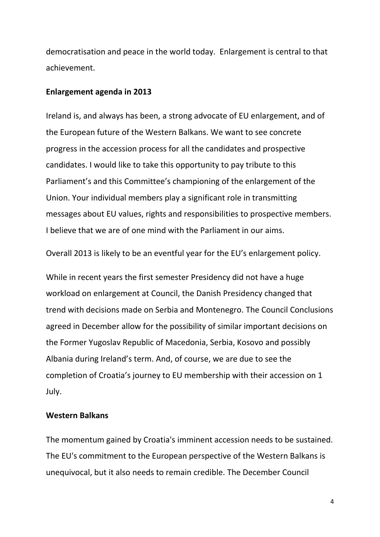democratisation and peace in the world today. Enlargement is central to that achievement.

## **Enlargement agenda in 2013**

Ireland is, and always has been, a strong advocate of EU enlargement, and of the European future of the Western Balkans. We want to see concrete progress in the accession process for all the candidates and prospective candidates. I would like to take this opportunity to pay tribute to this Parliament's and this Committee's championing of the enlargement of the Union. Your individual members play a significant role in transmitting messages about EU values, rights and responsibilities to prospective members. I believe that we are of one mind with the Parliament in our aims.

Overall 2013 is likely to be an eventful year for the EU's enlargement policy.

While in recent years the first semester Presidency did not have a huge workload on enlargement at Council, the Danish Presidency changed that trend with decisions made on Serbia and Montenegro. The Council Conclusions agreed in December allow for the possibility of similar important decisions on the Former Yugoslav Republic of Macedonia, Serbia, Kosovo and possibly Albania during Ireland's term. And, of course, we are due to see the completion of Croatia's journey to EU membership with their accession on 1 July.

## **Western Balkans**

The momentum gained by Croatia's imminent accession needs to be sustained. The EU's commitment to the European perspective of the Western Balkans is unequivocal, but it also needs to remain credible. The December Council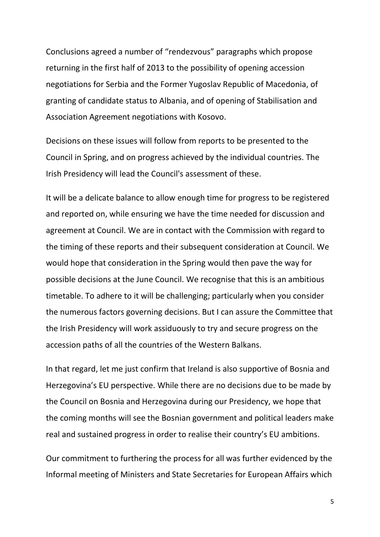Conclusions agreed a number of "rendezvous" paragraphs which propose returning in the first half of 2013 to the possibility of opening accession negotiations for Serbia and the Former Yugoslav Republic of Macedonia, of granting of candidate status to Albania, and of opening of Stabilisation and Association Agreement negotiations with Kosovo.

Decisions on these issues will follow from reports to be presented to the Council in Spring, and on progress achieved by the individual countries. The Irish Presidency will lead the Council's assessment of these.

It will be a delicate balance to allow enough time for progress to be registered and reported on, while ensuring we have the time needed for discussion and agreement at Council. We are in contact with the Commission with regard to the timing of these reports and their subsequent consideration at Council. We would hope that consideration in the Spring would then pave the way for possible decisions at the June Council. We recognise that this is an ambitious timetable. To adhere to it will be challenging; particularly when you consider the numerous factors governing decisions. But I can assure the Committee that the Irish Presidency will work assiduously to try and secure progress on the accession paths of all the countries of the Western Balkans.

In that regard, let me just confirm that Ireland is also supportive of Bosnia and Herzegovina's EU perspective. While there are no decisions due to be made by the Council on Bosnia and Herzegovina during our Presidency, we hope that the coming months will see the Bosnian government and political leaders make real and sustained progress in order to realise their country's EU ambitions.

Our commitment to furthering the process for all was further evidenced by the Informal meeting of Ministers and State Secretaries for European Affairs which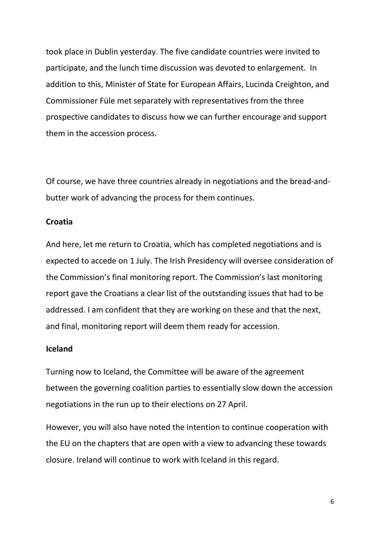took place in Dublin yesterday. The five candidate countries were invited to participate, and the lunch time discussion was devoted to enlargement. In addition to this, Minister of State for European Affairs, Lucinda Creighton, and Commissioner Füle met separately with representatives from the three prospective candidates to discuss how we can further encourage and support them in the accession process.

Of course, we have three countries already in negotiations and the bread-andbutter work of advancing the process for them continues.

## **Croatia**

And here, let me return to Croatia, which has completed negotiations and is expected to accede on 1 July. The Irish Presidency will oversee consideration of the Commission's final monitoring report. The Commission's last monitoring report gave the Croatians a clear list of the outstanding issues that had to be addressed. I am confident that they are working on these and that the next, and final, monitoring report will deem them ready for accession.

#### **Iceland**

Turning now to Iceland, the Committee will be aware of the agreement between the governing coalition parties to essentially slow down the accession negotiations in the run up to their elections on 27 April.

However, you will also have noted the intention to continue cooperation with the EU on the chapters that are open with a view to advancing these towards closure. Ireland will continue to work with Iceland in this regard.

6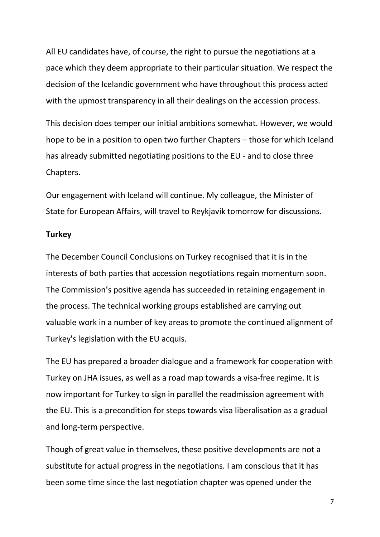All EU candidates have, of course, the right to pursue the negotiations at a pace which they deem appropriate to their particular situation. We respect the decision of the Icelandic government who have throughout this process acted with the upmost transparency in all their dealings on the accession process.

This decision does temper our initial ambitions somewhat. However, we would hope to be in a position to open two further Chapters – those for which Iceland has already submitted negotiating positions to the EU - and to close three Chapters.

Our engagement with Iceland will continue. My colleague, the Minister of State for European Affairs, will travel to Reykjavik tomorrow for discussions.

#### **Turkey**

The December Council Conclusions on Turkey recognised that it is in the interests of both parties that accession negotiations regain momentum soon. The Commission's positive agenda has succeeded in retaining engagement in the process. The technical working groups established are carrying out valuable work in a number of key areas to promote the continued alignment of Turkey's legislation with the EU acquis.

The EU has prepared a broader dialogue and a framework for cooperation with Turkey on JHA issues, as well as a road map towards a visa-free regime. It is now important for Turkey to sign in parallel the readmission agreement with the EU. This is a precondition for steps towards visa liberalisation as a gradual and long-term perspective.

Though of great value in themselves, these positive developments are not a substitute for actual progress in the negotiations. I am conscious that it has been some time since the last negotiation chapter was opened under the

7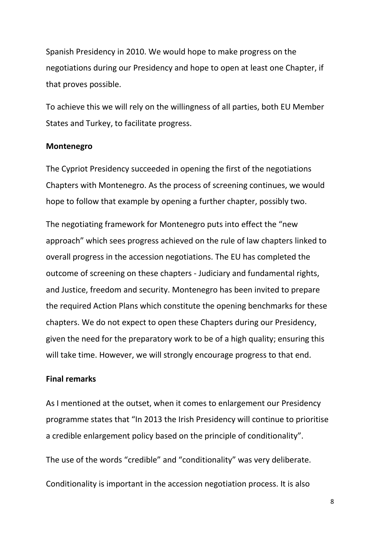Spanish Presidency in 2010. We would hope to make progress on the negotiations during our Presidency and hope to open at least one Chapter, if that proves possible.

To achieve this we will rely on the willingness of all parties, both EU Member States and Turkey, to facilitate progress.

#### **Montenegro**

The Cypriot Presidency succeeded in opening the first of the negotiations Chapters with Montenegro. As the process of screening continues, we would hope to follow that example by opening a further chapter, possibly two.

The negotiating framework for Montenegro puts into effect the "new approach" which sees progress achieved on the rule of law chapters linked to overall progress in the accession negotiations. The EU has completed the outcome of screening on these chapters - Judiciary and fundamental rights, and Justice, freedom and security. Montenegro has been invited to prepare the required Action Plans which constitute the opening benchmarks for these chapters. We do not expect to open these Chapters during our Presidency, given the need for the preparatory work to be of a high quality; ensuring this will take time. However, we will strongly encourage progress to that end.

# **Final remarks**

As I mentioned at the outset, when it comes to enlargement our Presidency programme states that "In 2013 the Irish Presidency will continue to prioritise a credible enlargement policy based on the principle of conditionality".

The use of the words "credible" and "conditionality" was very deliberate.

Conditionality is important in the accession negotiation process. It is also